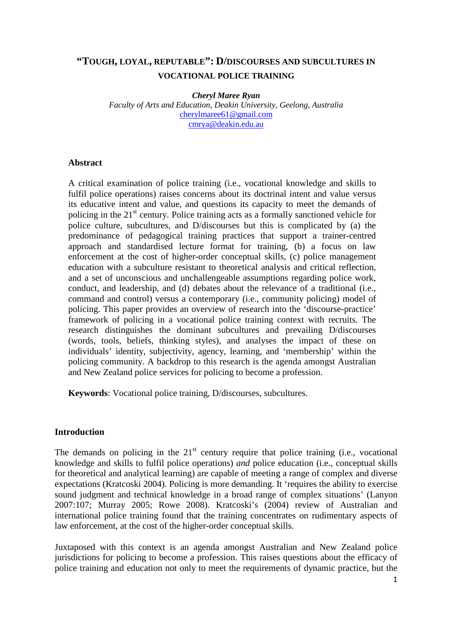# **"TOUGH, LOYAL, REPUTABLE": D/DISCOURSES AND SUBCULTURES IN VOCATIONAL POLICE TRAINING**

*Cheryl Maree Ryan* 

*Faculty of Arts and Education, Deakin University, Geelong, Australia*  cherylmaree61@gmail.com cmrya@deakin.edu.au

#### **Abstract**

A critical examination of police training (i.e., vocational knowledge and skills to fulfil police operations) raises concerns about its doctrinal intent and value versus its educative intent and value, and questions its capacity to meet the demands of policing in the 21<sup>st</sup> century. Police training acts as a formally sanctioned vehicle for police culture, subcultures, and D/discourses but this is complicated by (a) the predominance of pedagogical training practices that support a trainer-centred approach and standardised lecture format for training, (b) a focus on law enforcement at the cost of higher-order conceptual skills, (c) police management education with a subculture resistant to theoretical analysis and critical reflection, and a set of unconscious and unchallengeable assumptions regarding police work, conduct, and leadership, and (d) debates about the relevance of a traditional (i.e., command and control) versus a contemporary (i.e., community policing) model of policing. This paper provides an overview of research into the 'discourse-practice' framework of policing in a vocational police training context with recruits. The research distinguishes the dominant subcultures and prevailing D/discourses (words, tools, beliefs, thinking styles), and analyses the impact of these on individuals' identity, subjectivity, agency, learning, and 'membership' within the policing community. A backdrop to this research is the agenda amongst Australian and New Zealand police services for policing to become a profession.

**Keywords**: Vocational police training, D/discourses, subcultures.

#### **Introduction**

The demands on policing in the  $21<sup>st</sup>$  century require that police training (i.e., vocational knowledge and skills to fulfil police operations) *and* police education (i.e., conceptual skills for theoretical and analytical learning) are capable of meeting a range of complex and diverse expectations (Kratcoski 2004). Policing is more demanding. It 'requires the ability to exercise sound judgment and technical knowledge in a broad range of complex situations' (Lanyon 2007:107; Murray 2005; Rowe 2008). Kratcoski's (2004) review of Australian and international police training found that the training concentrates on rudimentary aspects of law enforcement, at the cost of the higher-order conceptual skills.

Juxtaposed with this context is an agenda amongst Australian and New Zealand police jurisdictions for policing to become a profession. This raises questions about the efficacy of police training and education not only to meet the requirements of dynamic practice, but the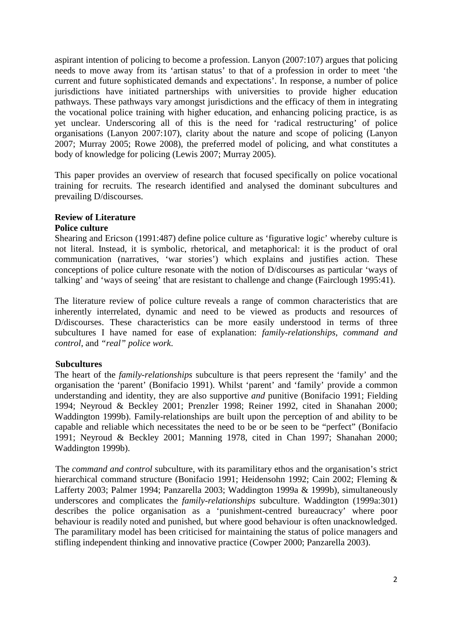aspirant intention of policing to become a profession. Lanyon (2007:107) argues that policing needs to move away from its 'artisan status' to that of a profession in order to meet 'the current and future sophisticated demands and expectations'. In response, a number of police jurisdictions have initiated partnerships with universities to provide higher education pathways. These pathways vary amongst jurisdictions and the efficacy of them in integrating the vocational police training with higher education, and enhancing policing practice, is as yet unclear. Underscoring all of this is the need for 'radical restructuring' of police organisations (Lanyon 2007:107), clarity about the nature and scope of policing (Lanyon 2007; Murray 2005; Rowe 2008), the preferred model of policing, and what constitutes a body of knowledge for policing (Lewis 2007; Murray 2005).

This paper provides an overview of research that focused specifically on police vocational training for recruits. The research identified and analysed the dominant subcultures and prevailing D/discourses.

# **Review of Literature**

#### **Police culture**

Shearing and Ericson (1991:487) define police culture as 'figurative logic' whereby culture is not literal. Instead, it is symbolic, rhetorical, and metaphorical: it is the product of oral communication (narratives, 'war stories') which explains and justifies action. These conceptions of police culture resonate with the notion of D/discourses as particular 'ways of talking' and 'ways of seeing' that are resistant to challenge and change (Fairclough 1995:41).

The literature review of police culture reveals a range of common characteristics that are inherently interrelated, dynamic and need to be viewed as products and resources of D/discourses. These characteristics can be more easily understood in terms of three subcultures I have named for ease of explanation: *family-relationships*, *command and control*, and *"real" police work*.

# **Subcultures**

The heart of the *family-relationships* subculture is that peers represent the 'family' and the organisation the 'parent' (Bonifacio 1991). Whilst 'parent' and 'family' provide a common understanding and identity, they are also supportive *and* punitive (Bonifacio 1991; Fielding 1994; Neyroud & Beckley 2001; Prenzler 1998; Reiner 1992, cited in Shanahan 2000; Waddington 1999b). Family-relationships are built upon the perception of and ability to be capable and reliable which necessitates the need to be or be seen to be "perfect" (Bonifacio 1991; Neyroud & Beckley 2001; Manning 1978, cited in Chan 1997; Shanahan 2000; Waddington 1999b).

The *command and control* subculture, with its paramilitary ethos and the organisation's strict hierarchical command structure (Bonifacio 1991; Heidensohn 1992; Cain 2002; Fleming & Lafferty 2003; Palmer 1994; Panzarella 2003; Waddington 1999a & 1999b), simultaneously underscores and complicates the *family-relationships* subculture. Waddington (1999a:301) describes the police organisation as a 'punishment-centred bureaucracy' where poor behaviour is readily noted and punished, but where good behaviour is often unacknowledged. The paramilitary model has been criticised for maintaining the status of police managers and stifling independent thinking and innovative practice (Cowper 2000; Panzarella 2003).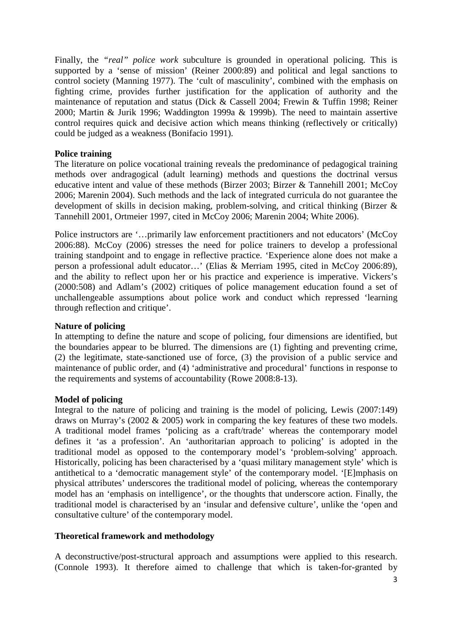Finally, the *"real" police work* subculture is grounded in operational policing. This is supported by a 'sense of mission' (Reiner 2000:89) and political and legal sanctions to control society (Manning 1977). The 'cult of masculinity', combined with the emphasis on fighting crime, provides further justification for the application of authority and the maintenance of reputation and status (Dick & Cassell 2004; Frewin & Tuffin 1998; Reiner 2000; Martin & Jurik 1996; Waddington 1999a & 1999b). The need to maintain assertive control requires quick and decisive action which means thinking (reflectively or critically) could be judged as a weakness (Bonifacio 1991).

#### **Police training**

The literature on police vocational training reveals the predominance of pedagogical training methods over andragogical (adult learning) methods and questions the doctrinal versus educative intent and value of these methods (Birzer 2003; Birzer & Tannehill 2001; McCoy 2006; Marenin 2004). Such methods and the lack of integrated curricula do not guarantee the development of skills in decision making, problem-solving, and critical thinking (Birzer & Tannehill 2001, Ortmeier 1997, cited in McCoy 2006; Marenin 2004; White 2006).

Police instructors are '…primarily law enforcement practitioners and not educators' (McCoy 2006:88). McCoy (2006) stresses the need for police trainers to develop a professional training standpoint and to engage in reflective practice. 'Experience alone does not make a person a professional adult educator…' (Elias & Merriam 1995, cited in McCoy 2006:89), and the ability to reflect upon her or his practice and experience is imperative. Vickers's (2000:508) and Adlam's (2002) critiques of police management education found a set of unchallengeable assumptions about police work and conduct which repressed 'learning through reflection and critique'.

#### **Nature of policing**

In attempting to define the nature and scope of policing, four dimensions are identified, but the boundaries appear to be blurred. The dimensions are (1) fighting and preventing crime, (2) the legitimate, state-sanctioned use of force, (3) the provision of a public service and maintenance of public order, and (4) 'administrative and procedural' functions in response to the requirements and systems of accountability (Rowe 2008:8-13).

#### **Model of policing**

Integral to the nature of policing and training is the model of policing, Lewis (2007:149) draws on Murray's (2002 & 2005) work in comparing the key features of these two models. A traditional model frames 'policing as a craft/trade' whereas the contemporary model defines it 'as a profession'. An 'authoritarian approach to policing' is adopted in the traditional model as opposed to the contemporary model's 'problem-solving' approach. Historically, policing has been characterised by a 'quasi military management style' which is antithetical to a 'democratic management style' of the contemporary model. '[E]mphasis on physical attributes' underscores the traditional model of policing, whereas the contemporary model has an 'emphasis on intelligence', or the thoughts that underscore action. Finally, the traditional model is characterised by an 'insular and defensive culture', unlike the 'open and consultative culture' of the contemporary model.

#### **Theoretical framework and methodology**

A deconstructive/post-structural approach and assumptions were applied to this research. (Connole 1993). It therefore aimed to challenge that which is taken-for-granted by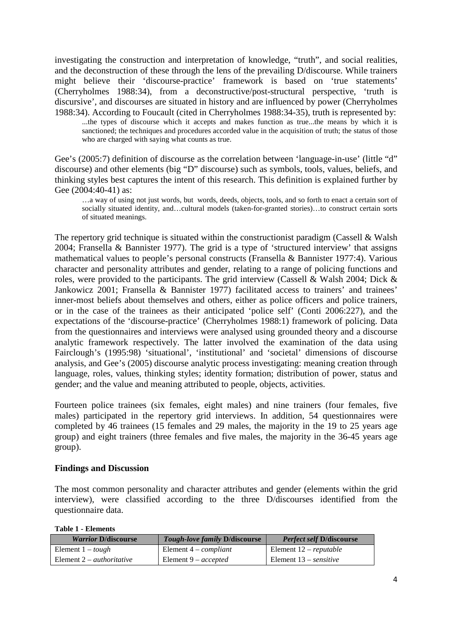investigating the construction and interpretation of knowledge, "truth", and social realities, and the deconstruction of these through the lens of the prevailing D/discourse. While trainers might believe their 'discourse-practice' framework is based on 'true statements' (Cherryholmes 1988:34), from a deconstructive/post-structural perspective, 'truth is discursive', and discourses are situated in history and are influenced by power (Cherryholmes 1988:34). According to Foucault (cited in Cherryholmes 1988:34-35), truth is represented by:

...the types of discourse which it accepts and makes function as true...the means by which it is sanctioned; the techniques and procedures accorded value in the acquisition of truth; the status of those who are charged with saying what counts as true.

Gee's (2005:7) definition of discourse as the correlation between 'language-in-use' (little "d" discourse) and other elements (big "D" discourse) such as symbols, tools, values, beliefs, and thinking styles best captures the intent of this research. This definition is explained further by Gee (2004:40-41) as:

…a way of using not just words, but words, deeds, objects, tools, and so forth to enact a certain sort of socially situated identity, and…cultural models (taken-for-granted stories)…to construct certain sorts of situated meanings.

The repertory grid technique is situated within the constructionist paradigm (Cassell & Walsh 2004; Fransella & Bannister 1977). The grid is a type of 'structured interview' that assigns mathematical values to people's personal constructs (Fransella & Bannister 1977:4). Various character and personality attributes and gender, relating to a range of policing functions and roles, were provided to the participants. The grid interview (Cassell & Walsh 2004; Dick & Jankowicz 2001; Fransella & Bannister 1977) facilitated access to trainers' and trainees' inner-most beliefs about themselves and others, either as police officers and police trainers, or in the case of the trainees as their anticipated 'police self' (Conti 2006:227), and the expectations of the 'discourse-practice' (Cherryholmes 1988:1) framework of policing. Data from the questionnaires and interviews were analysed using grounded theory and a discourse analytic framework respectively. The latter involved the examination of the data using Fairclough's (1995:98) 'situational', 'institutional' and 'societal' dimensions of discourse analysis, and Gee's (2005) discourse analytic process investigating: meaning creation through language, roles, values, thinking styles; identity formation; distribution of power, status and gender; and the value and meaning attributed to people, objects, activities.

Fourteen police trainees (six females, eight males) and nine trainers (four females, five males) participated in the repertory grid interviews. In addition, 54 questionnaires were completed by 46 trainees (15 females and 29 males, the majority in the 19 to 25 years age group) and eight trainers (three females and five males, the majority in the 36-45 years age group).

#### **Findings and Discussion**

The most common personality and character attributes and gender (elements within the grid interview), were classified according to the three D/discourses identified from the questionnaire data.

**Table 1 - Elements** 

| <i>Warrior D/discourse</i>             | <b>Tough-love family D/discourse</b> | <b>Perfect self D/discourse</b> |
|----------------------------------------|--------------------------------------|---------------------------------|
| Element $1 - \text{tough}$             | Element $4$ – <i>compliant</i>       | Element $12$ – reputable        |
| Element $2 - \mu$ <i>duthoritative</i> | Element 9 – <i>accepted</i>          | Element $13$ – <i>sensitive</i> |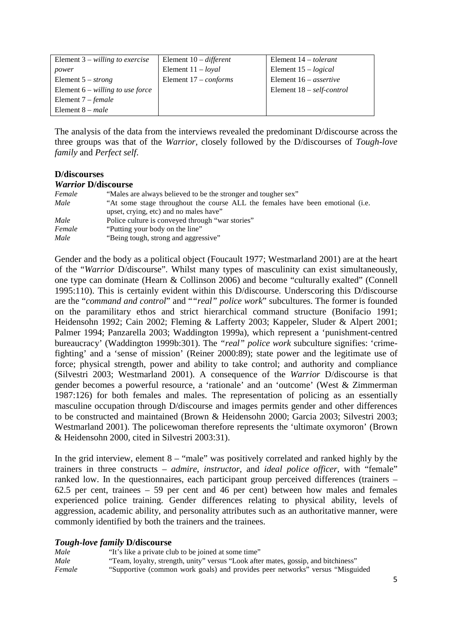| Element $3$ – willing to exercise  | Element $10$ – different    | Element $14 - tolerant$         |
|------------------------------------|-----------------------------|---------------------------------|
| power                              | Element $11 - \text{logal}$ | Element $15 - logical$          |
| Element $5 - strong$               | Element $17$ – conforms     | Element $16 -$ <i>assertive</i> |
| Element $6$ – willing to use force |                             | Element $18$ – self-control     |
| Element $7 - female$               |                             |                                 |
| Element $8 - male$                 |                             |                                 |

The analysis of the data from the interviews revealed the predominant D/discourse across the three groups was that of the *Warrior*, closely followed by the D/discourses of *Tough-love family* and *Perfect self*.

#### **D/discourses**  *Warrior* **D/discourse**

|        | $\boldsymbol{v}$ and $\boldsymbol{v}$ is the set of $\boldsymbol{v}$           |
|--------|--------------------------------------------------------------------------------|
| Female | "Males are always believed to be the stronger and tougher sex"                 |
| Male   | "At some stage throughout the course ALL the females have been emotional (i.e. |
|        | upset, crying, etc) and no males have"                                         |
| Male   | Police culture is conveyed through "war stories"                               |
| Female | "Putting your body on the line"                                                |
| Male   | "Being tough, strong and aggressive"                                           |

Gender and the body as a political object (Foucault 1977; Westmarland 2001) are at the heart of the "*Warrior* D/discourse". Whilst many types of masculinity can exist simultaneously, one type can dominate (Hearn & Collinson 2006) and become "culturally exalted" (Connell 1995:110). This is certainly evident within this D/discourse. Underscoring this D/discourse are the "*command and control*" and "*"real" police work*" subcultures. The former is founded on the paramilitary ethos and strict hierarchical command structure (Bonifacio 1991; Heidensohn 1992; Cain 2002; Fleming & Lafferty 2003; Kappeler, Sluder & Alpert 2001; Palmer 1994; Panzarella 2003; Waddington 1999a), which represent a 'punishment-centred bureaucracy' (Waddington 1999b:301). The *"real" police work* subculture signifies: 'crimefighting' and a 'sense of mission' (Reiner 2000:89); state power and the legitimate use of force; physical strength, power and ability to take control; and authority and compliance (Silvestri 2003; Westmarland 2001). A consequence of the *Warrior* D/discourse is that gender becomes a powerful resource, a 'rationale' and an 'outcome' (West & Zimmerman 1987:126) for both females and males. The representation of policing as an essentially masculine occupation through D/discourse and images permits gender and other differences to be constructed and maintained (Brown & Heidensohn 2000; Garcia 2003; Silvestri 2003; Westmarland 2001). The policewoman therefore represents the 'ultimate oxymoron' (Brown & Heidensohn 2000, cited in Silvestri 2003:31).

In the grid interview, element  $8 -$  "male" was positively correlated and ranked highly by the trainers in three constructs – *admire*, *instructor*, and *ideal police officer*, with "female" ranked low. In the questionnaires, each participant group perceived differences (trainers – 62.5 per cent, trainees – 59 per cent and 46 per cent) between how males and females experienced police training. Gender differences relating to physical ability, levels of aggression, academic ability, and personality attributes such as an authoritative manner, were commonly identified by both the trainers and the trainees.

#### *Tough-love family* **D/discourse**

| Male   | "It's like a private club to be joined at some time"                               |
|--------|------------------------------------------------------------------------------------|
| Male   | "Team, loyalty, strength, unity" versus "Look after mates, gossip, and bitchiness" |
| Female | "Supportive (common work goals) and provides peer networks" versus "Misguided"     |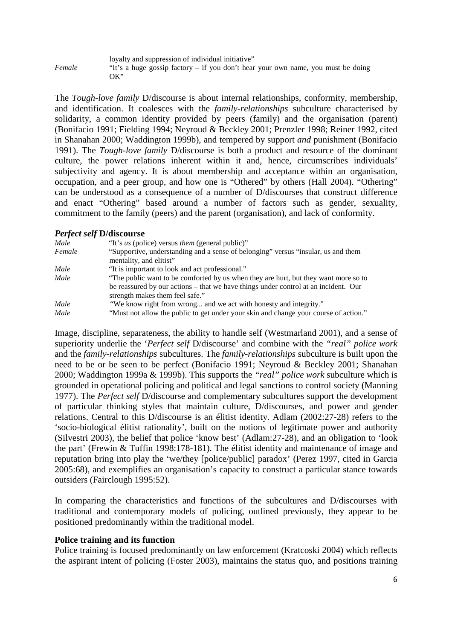|        | loyalty and suppression of individual initiative"                                |
|--------|----------------------------------------------------------------------------------|
| Female | "It's a huge gossip factory – if you don't hear your own name, you must be doing |
|        | OK''                                                                             |

The *Tough-love family* D/discourse is about internal relationships, conformity, membership, and identification. It coalesces with the *family-relationships* subculture characterised by solidarity, a common identity provided by peers (family) and the organisation (parent) (Bonifacio 1991; Fielding 1994; Neyroud & Beckley 2001; Prenzler 1998; Reiner 1992, cited in Shanahan 2000; Waddington 1999b), and tempered by support *and* punishment (Bonifacio 1991). The *Tough-love family* D/discourse is both a product and resource of the dominant culture, the power relations inherent within it and, hence, circumscribes individuals' subjectivity and agency. It is about membership and acceptance within an organisation, occupation, and a peer group, and how one is "Othered" by others (Hall 2004). "Othering" can be understood as a consequence of a number of D/discourses that construct difference and enact "Othering" based around a number of factors such as gender, sexuality, commitment to the family (peers) and the parent (organisation), and lack of conformity.

### *Perfect self* **D/discourse**

| Male   | "It's us (police) versus <i>them</i> (general public)"                                                                 |
|--------|------------------------------------------------------------------------------------------------------------------------|
| Female | "Supportive, understanding and a sense of belonging" versus "insular, us and them<br>mentality, and elitist"           |
| Male   | "It is important to look and act professional."                                                                        |
| Male   | "The public want to be comforted by us when they are hurt, but they want more so to                                    |
|        | be reassured by our actions – that we have things under control at an incident. Our<br>strength makes them feel safe." |
| Male   | "We know right from wrong and we act with honesty and integrity."                                                      |
| Male   | "Must not allow the public to get under your skin and change your course of action."                                   |

Image, discipline, separateness, the ability to handle self (Westmarland 2001), and a sense of superiority underlie the '*Perfect self* D/discourse' and combine with the *"real" police work* and the *family-relationships* subcultures. The *family-relationships* subculture is built upon the need to be or be seen to be perfect (Bonifacio 1991; Neyroud & Beckley 2001; Shanahan 2000; Waddington 1999a & 1999b). This supports the *"real" police work* subculture which is grounded in operational policing and political and legal sanctions to control society (Manning 1977). The *Perfect self* D/discourse and complementary subcultures support the development of particular thinking styles that maintain culture, D/discourses, and power and gender relations. Central to this D/discourse is an élitist identity. Adlam (2002:27-28) refers to the 'socio-biological élitist rationality', built on the notions of legitimate power and authority (Silvestri 2003), the belief that police 'know best' (Adlam:27-28), and an obligation to 'look the part' (Frewin & Tuffin 1998:178-181). The élitist identity and maintenance of image and reputation bring into play the 'we/they [police/public] paradox' (Perez 1997, cited in Garcia 2005:68), and exemplifies an organisation's capacity to construct a particular stance towards outsiders (Fairclough 1995:52).

In comparing the characteristics and functions of the subcultures and D/discourses with traditional and contemporary models of policing, outlined previously, they appear to be positioned predominantly within the traditional model.

#### **Police training and its function**

Police training is focused predominantly on law enforcement (Kratcoski 2004) which reflects the aspirant intent of policing (Foster 2003), maintains the status quo, and positions training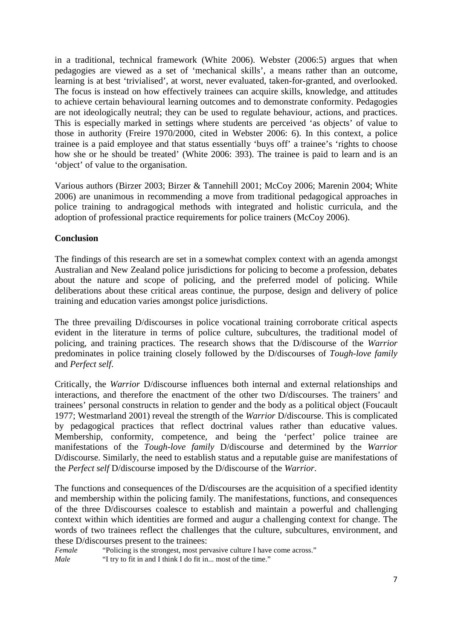in a traditional, technical framework (White 2006). Webster (2006:5) argues that when pedagogies are viewed as a set of 'mechanical skills', a means rather than an outcome, learning is at best 'trivialised', at worst, never evaluated, taken-for-granted, and overlooked. The focus is instead on how effectively trainees can acquire skills, knowledge, and attitudes to achieve certain behavioural learning outcomes and to demonstrate conformity. Pedagogies are not ideologically neutral; they can be used to regulate behaviour, actions, and practices. This is especially marked in settings where students are perceived 'as objects' of value to those in authority (Freire 1970/2000, cited in Webster 2006: 6). In this context, a police trainee is a paid employee and that status essentially 'buys off' a trainee's 'rights to choose how she or he should be treated' (White 2006: 393). The trainee is paid to learn and is an 'object' of value to the organisation.

Various authors (Birzer 2003; Birzer & Tannehill 2001; McCoy 2006; Marenin 2004; White 2006) are unanimous in recommending a move from traditional pedagogical approaches in police training to andragogical methods with integrated and holistic curricula, and the adoption of professional practice requirements for police trainers (McCoy 2006).

### **Conclusion**

The findings of this research are set in a somewhat complex context with an agenda amongst Australian and New Zealand police jurisdictions for policing to become a profession, debates about the nature and scope of policing, and the preferred model of policing. While deliberations about these critical areas continue, the purpose, design and delivery of police training and education varies amongst police jurisdictions.

The three prevailing D/discourses in police vocational training corroborate critical aspects evident in the literature in terms of police culture, subcultures, the traditional model of policing, and training practices. The research shows that the D/discourse of the *Warrior* predominates in police training closely followed by the D/discourses of *Tough-love family* and *Perfect self*.

Critically, the *Warrior* D/discourse influences both internal and external relationships and interactions, and therefore the enactment of the other two D/discourses. The trainers' and trainees' personal constructs in relation to gender and the body as a political object (Foucault 1977; Westmarland 2001) reveal the strength of the *Warrior* D/discourse. This is complicated by pedagogical practices that reflect doctrinal values rather than educative values. Membership, conformity, competence, and being the 'perfect' police trainee are manifestations of the *Tough-love family* D/discourse and determined by the *Warrior*  D/discourse. Similarly, the need to establish status and a reputable guise are manifestations of the *Perfect self* D/discourse imposed by the D/discourse of the *Warrior*.

The functions and consequences of the D/discourses are the acquisition of a specified identity and membership within the policing family. The manifestations, functions, and consequences of the three D/discourses coalesce to establish and maintain a powerful and challenging context within which identities are formed and augur a challenging context for change. The words of two trainees reflect the challenges that the culture, subcultures, environment, and these D/discourses present to the trainees:

*Female* "Policing is the strongest, most pervasive culture I have come across." *Male* "I try to fit in and I think I do fit in... most of the time."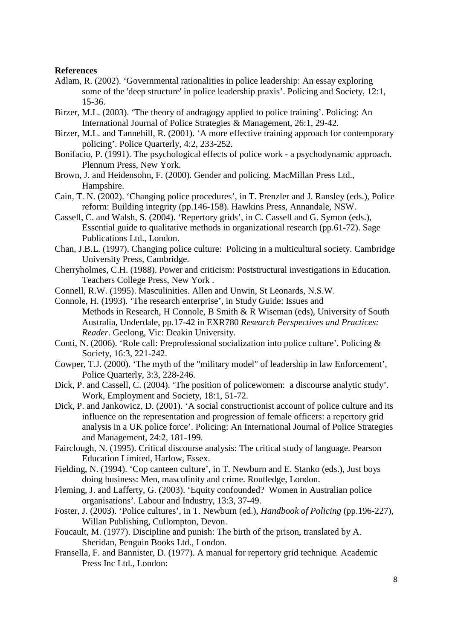#### **References**

- Adlam, R. (2002). 'Governmental rationalities in police leadership: An essay exploring some of the 'deep structure' in police leadership praxis'. Policing and Society, 12:1, 15-36.
- Birzer, M.L. (2003). 'The theory of andragogy applied to police training'. Policing: An International Journal of Police Strategies & Management, 26:1, 29-42.
- Birzer, M.L. and Tannehill, R. (2001). 'A more effective training approach for contemporary policing'. Police Quarterly, 4:2, 233-252.
- Bonifacio, P. (1991). The psychological effects of police work a psychodynamic approach. Plennum Press, New York.
- Brown, J. and Heidensohn, F. (2000). Gender and policing*.* MacMillan Press Ltd., Hampshire.
- Cain, T. N. (2002). 'Changing police procedures', in T. Prenzler and J. Ransley (eds.), Police reform: Building integrity (pp.146-158). Hawkins Press, Annandale, NSW.
- Cassell, C. and Walsh, S. (2004). 'Repertory grids', in C. Cassell and G. Symon (eds.), Essential guide to qualitative methods in organizational research (pp.61-72). Sage Publications Ltd., London.
- Chan, J.B.L. (1997). Changing police culture: Policing in a multicultural society. Cambridge University Press, Cambridge.
- Cherryholmes, C.H. (1988). Power and criticism: Poststructural investigations in Education*.* Teachers College Press, New York .
- Connell, R.W. (1995). Masculinities. Allen and Unwin, St Leonards, N.S.W.
- Connole, H. (1993). 'The research enterprise', in Study Guide: Issues and Methods in Research, H Connole, B Smith & R Wiseman (eds), University of South Australia, Underdale, pp.17-42 in EXR780 *Research Perspectives and Practices: Reader*. Geelong, Vic: Deakin University.
- Conti, N. (2006). 'Role call: Preprofessional socialization into police culture'. Policing & Society, 16:3, 221-242.
- Cowper, T.J. (2000). 'The myth of the "military model" of leadership in law Enforcement', Police Quarterly, 3:3, 228-246.
- Dick, P. and Cassell, C. (2004). 'The position of policewomen: a discourse analytic study'. Work, Employment and Society, 18:1, 51-72.
- Dick, P. and Jankowicz, D. (2001). 'A social constructionist account of police culture and its influence on the representation and progression of female officers: a repertory grid analysis in a UK police force'. Policing: An International Journal of Police Strategies and Management, 24:2, 181-199.
- Fairclough, N. (1995). Critical discourse analysis: The critical study of language. Pearson Education Limited, Harlow, Essex.
- Fielding, N. (1994). 'Cop canteen culture', in T. Newburn and E. Stanko (eds.), Just boys doing business: Men, masculinity and crime. Routledge, London.
- Fleming, J. and Lafferty, G. (2003). 'Equity confounded? Women in Australian police organisations'. Labour and Industry, 13:3, 37-49.
- Foster, J. (2003). 'Police cultures', in T. Newburn (ed.), *Handbook of Policing* (pp.196-227), Willan Publishing, Cullompton, Devon.
- Foucault, M. (1977). Discipline and punish: The birth of the prison, translated by A. Sheridan, Penguin Books Ltd., London.
- Fransella, F. and Bannister, D. (1977). A manual for repertory grid technique*.* Academic Press Inc Ltd., London: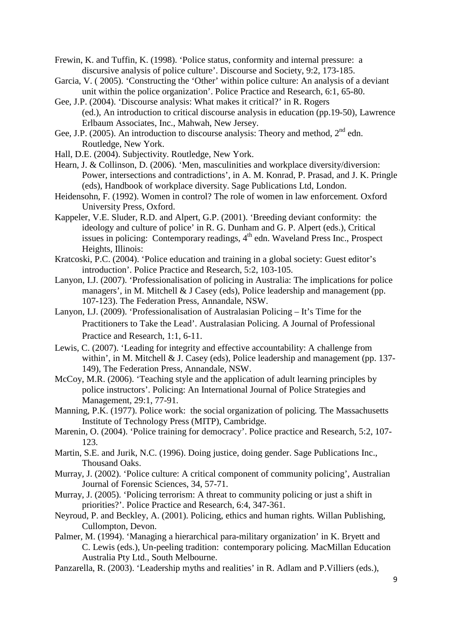Frewin, K. and Tuffin, K. (1998). 'Police status, conformity and internal pressure: a discursive analysis of police culture'. Discourse and Society, 9:2, 173-185.

- Garcia, V. ( 2005). 'Constructing the 'Other' within police culture: An analysis of a deviant unit within the police organization'. Police Practice and Research, 6:1, 65-80.
- Gee, J.P. (2004). 'Discourse analysis: What makes it critical?' in R. Rogers (ed.), An introduction to critical discourse analysis in education (pp.19-50), Lawrence Erlbaum Associates, Inc., Mahwah, New Jersey.
- Gee, J.P. (2005). An introduction to discourse analysis: Theory and method,  $2<sup>nd</sup>$  edn. Routledge, New York.
- Hall, D.E. (2004). Subjectivity. Routledge, New York.
- Hearn, J. & Collinson, D. (2006). 'Men, masculinities and workplace diversity/diversion: Power, intersections and contradictions', in A. M. Konrad, P. Prasad, and J. K. Pringle (eds), Handbook of workplace diversity. Sage Publications Ltd, London.
- Heidensohn, F. (1992). Women in control? The role of women in law enforcement*.* Oxford University Press, Oxford.
- Kappeler, V.E. Sluder, R.D. and Alpert, G.P. (2001). 'Breeding deviant conformity: the ideology and culture of police' in R. G. Dunham and G. P. Alpert (eds.), Critical issues in policing: Contemporary readings,  $4<sup>th</sup>$  edn. Waveland Press Inc., Prospect Heights, Illinois:
- Kratcoski, P.C. (2004). 'Police education and training in a global society: Guest editor's introduction'. Police Practice and Research, 5:2, 103-105.
- Lanyon, I.J. (2007). 'Professionalisation of policing in Australia: The implications for police managers', in M. Mitchell & J Casey (eds), Police leadership and management (pp. 107-123). The Federation Press, Annandale, NSW.
- Lanyon, I.J. (2009). 'Professionalisation of Australasian Policing It's Time for the Practitioners to Take the Lead'. Australasian Policing. A Journal of Professional Practice and Research, 1:1, 6-11.
- Lewis, C. (2007). 'Leading for integrity and effective accountability: A challenge from within', in M. Mitchell & J. Casey (eds), Police leadership and management (pp. 137-149), The Federation Press, Annandale, NSW.
- McCoy, M.R. (2006). 'Teaching style and the application of adult learning principles by police instructors'. Policing: An International Journal of Police Strategies and Management, 29:1, 77-91.
- Manning, P.K. (1977). Police work: the social organization of policing*.* The Massachusetts Institute of Technology Press (MITP), Cambridge.
- Marenin, O. (2004). 'Police training for democracy'. Police practice and Research, 5:2, 107- 123.
- Martin, S.E. and Jurik, N.C. (1996). Doing justice, doing gender. Sage Publications Inc., Thousand Oaks.
- Murray, J. (2002). 'Police culture: A critical component of community policing', Australian Journal of Forensic Sciences, 34, 57-71.
- Murray, J. (2005). 'Policing terrorism: A threat to community policing or just a shift in priorities?'. Police Practice and Research, 6:4, 347-361.
- Neyroud, P. and Beckley, A. (2001). Policing, ethics and human rights*.* Willan Publishing, Cullompton, Devon.
- Palmer, M. (1994). 'Managing a hierarchical para-military organization' in K. Bryett and C. Lewis (eds.), Un-peeling tradition: contemporary policing*.* MacMillan Education Australia Pty Ltd., South Melbourne.
- Panzarella, R. (2003). 'Leadership myths and realities' in R. Adlam and P.Villiers (eds.),